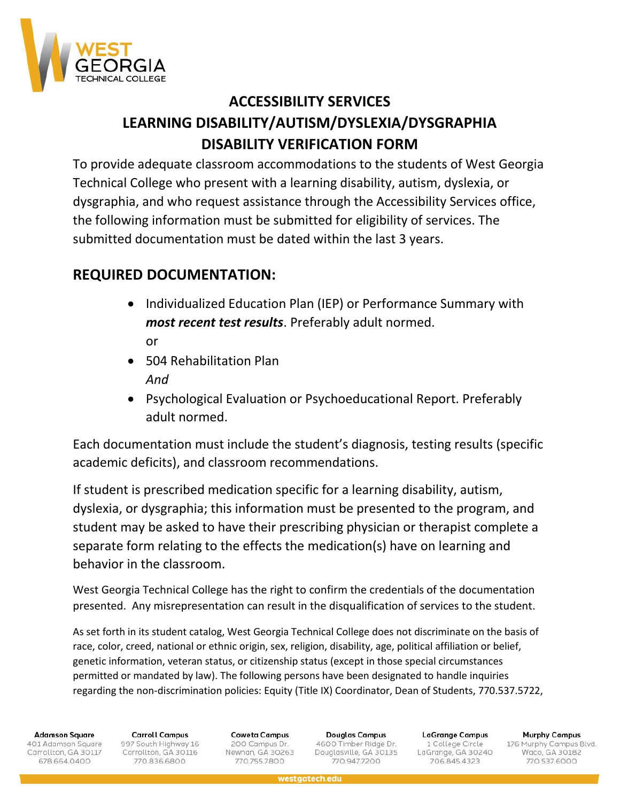

## **ACCESSIBILITY SERVICES LEARNING DISABILITY/AUTISM/DYSLEXIA/DYSGRAPHIA DISABILITY VERIFICATION FORM**

To provide adequate classroom accommodations to the students of West Georgia Technical College who present with a learning disability, autism, dyslexia, or dysgraphia, and who request assistance through the Accessibility Services office, the following information must be submitted for eligibility of services. The submitted documentation must be dated within the last 3 years.

## **REQUIRED DOCUMENTATION:**

- Individualized Education Plan (IEP) or Performance Summary with *most recent test results*. Preferably adult normed. or
- 504 Rehabilitation Plan *And*
- Psychological Evaluation or Psychoeducational Report. Preferably adult normed.

Each documentation must include the student's diagnosis, testing results (specific academic deficits), and classroom recommendations.

If student is prescribed medication specific for a learning disability, autism, dyslexia, or dysgraphia; this information must be presented to the program, and student may be asked to have their prescribing physician or therapist complete a separate form relating to the effects the medication(s) have on learning and behavior in the classroom.

West Georgia Technical College has the right to confirm the credentials of the documentation presented. Any misrepresentation can result in the disqualification of services to the student.

As set forth in its student catalog, West Georgia Technical College does not discriminate on the basis of race, color, creed, national or ethnic origin, sex, religion, disability, age, political affiliation or belief, genetic information, veteran status, or citizenship status (except in those special circumstances permitted or mandated by law). The following persons have been designated to handle inquiries regarding the non-discrimination policies: Equity (Title IX) Coordinator, Dean of Students, 770.537.5722,

**Adamson Square** 

401 Adamson Square Carrollton, GA 30117 678.664.0400

**Carroll Campus** 997 South Highway 16 Carrollton, GA 30116 770.836.6800

**Coweta Campus** 200 Campus Dr. Newnan, GA 30263 770.755.7800

Douglas Campus 4600 Timber Ridge Dr. Douglasville, GA 30135 770.947.7200

**LaGrange Campus** 1 College Circle LaGrange, GA 30240 706.845.4323

**Murphy Campus** 176 Murphy Campus Blvd.<br>Waco, GA 30182 770.537.6000